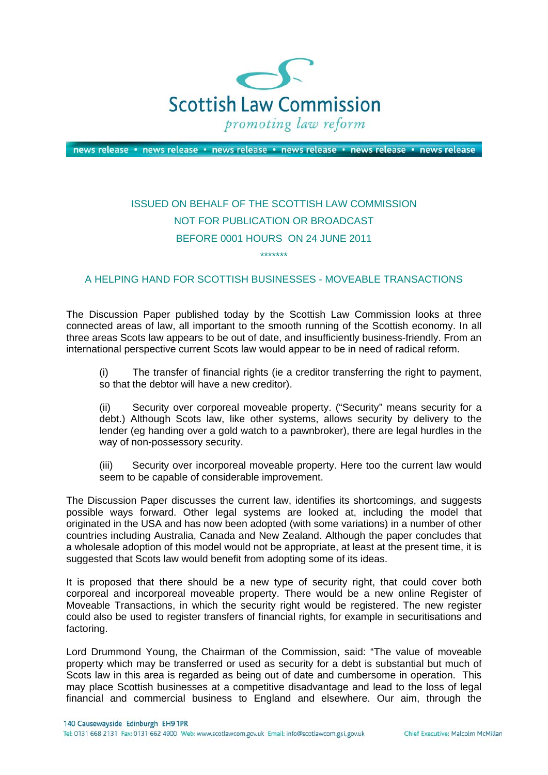

news release · news release · news release · news release · news release · news release

## ISSUED ON BEHALF OF THE SCOTTISH LAW COMMISSION NOT FOR PUBLICATION OR BROADCAST BEFORE 0001 HOURS ON 24 JUNE 2011 \*\*\*\*\*\*\*

## A HELPING HAND FOR SCOTTISH BUSINESSES - MOVEABLE TRANSACTIONS

The Discussion Paper published today by the Scottish Law Commission looks at three connected areas of law, all important to the smooth running of the Scottish economy. In all three areas Scots law appears to be out of date, and insufficiently business-friendly. From an international perspective current Scots law would appear to be in need of radical reform.

(i) The transfer of financial rights (ie a creditor transferring the right to payment, so that the debtor will have a new creditor).

(ii) Security over corporeal moveable property. ("Security" means security for a debt.) Although Scots law, like other systems, allows security by delivery to the lender (eg handing over a gold watch to a pawnbroker), there are legal hurdles in the way of non-possessory security.

(iii) Security over incorporeal moveable property. Here too the current law would seem to be capable of considerable improvement.

The Discussion Paper discusses the current law, identifies its shortcomings, and suggests possible ways forward. Other legal systems are looked at, including the model that originated in the USA and has now been adopted (with some variations) in a number of other countries including Australia, Canada and New Zealand. Although the paper concludes that a wholesale adoption of this model would not be appropriate, at least at the present time, it is suggested that Scots law would benefit from adopting some of its ideas.

It is proposed that there should be a new type of security right, that could cover both corporeal and incorporeal moveable property. There would be a new online Register of Moveable Transactions, in which the security right would be registered. The new register could also be used to register transfers of financial rights, for example in securitisations and factoring.

Lord Drummond Young, the Chairman of the Commission, said: "The value of moveable property which may be transferred or used as security for a debt is substantial but much of Scots law in this area is regarded as being out of date and cumbersome in operation. This may place Scottish businesses at a competitive disadvantage and lead to the loss of legal financial and commercial business to England and elsewhere. Our aim, through the